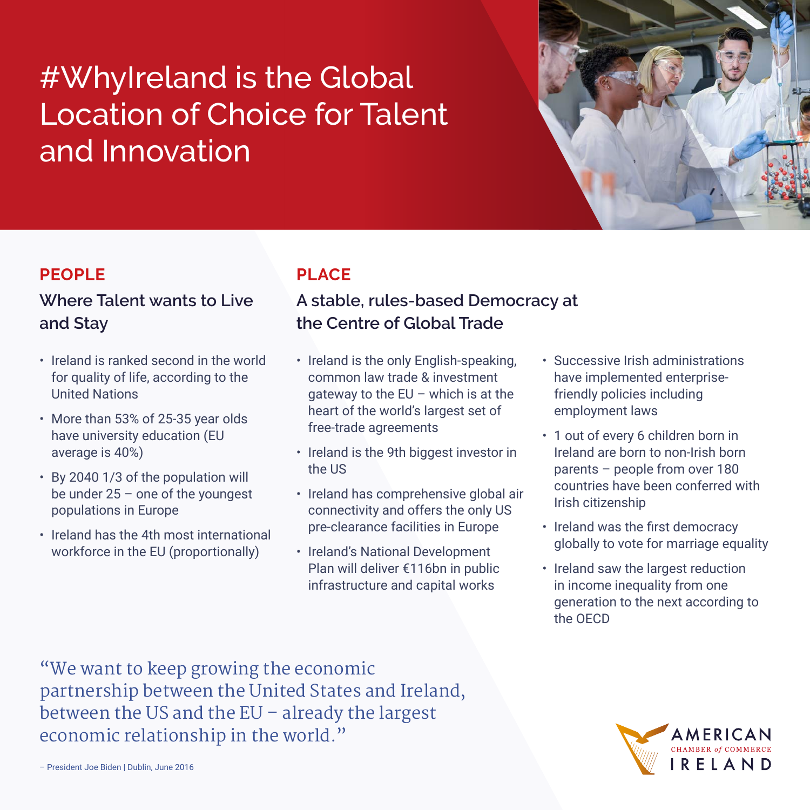# #WhyIreland is the Global Location of Choice for Talent and Innovation



## **PEOPLE**

## **Where Talent wants to Live and Stay**

- Ireland is ranked second in the world for quality of life, according to the United Nations
- More than 53% of 25-35 year olds have university education (EU average is 40%)
- By 2040 1/3 of the population will be under 25 – one of the youngest populations in Europe
- Ireland has the 4th most international workforce in the EU (proportionally)

# **PLACE**

## **A stable, rules-based Democracy at the Centre of Global Trade**

- Ireland is the only English-speaking, common law trade & investment gateway to the  $EU$  – which is at the heart of the world's largest set of free-trade agreements
- Ireland is the 9th biggest investor in the US
- Ireland has comprehensive global air connectivity and offers the only US pre-clearance facilities in Europe
- Ireland's National Development Plan will deliver €116bn in public infrastructure and capital works
- Successive Irish administrations have implemented enterprisefriendly policies including employment laws
- 1 out of every 6 children born in Ireland are born to non-Irish born parents – people from over 180 countries have been conferred with Irish citizenship
- Ireland was the first democracy globally to vote for marriage equality
- Ireland saw the largest reduction in income inequality from one generation to the next according to the OECD

"We want to keep growing the economic partnership between the United States and Ireland, between the US and the EU – already the largest economic relationship in the world."